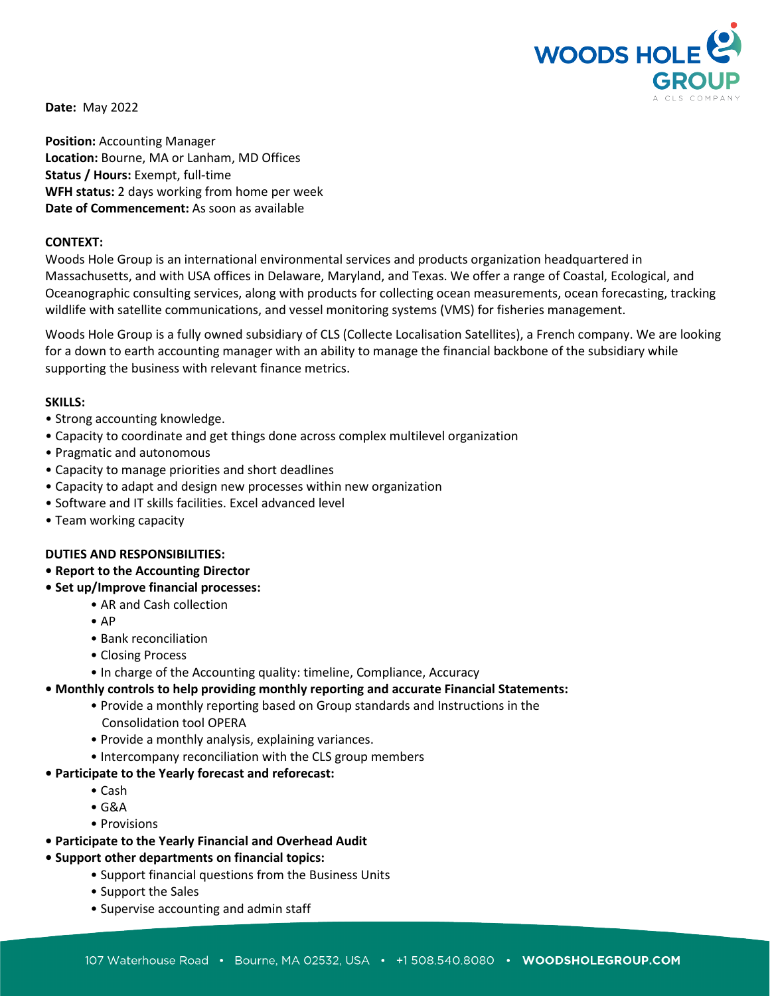

**Date:** May 2022

**Position:** Accounting Manager **Location:** Bourne, MA or Lanham, MD Offices **Status / Hours:** Exempt, full-time **WFH status:** 2 days working from home per week **Date of Commencement:** As soon as available

### **CONTEXT:**

Woods Hole Group is an international environmental services and products organization headquartered in Massachusetts, and with USA offices in Delaware, Maryland, and Texas. We offer a range of Coastal, Ecological, and Oceanographic consulting services, along with products for collecting ocean measurements, ocean forecasting, tracking wildlife with satellite communications, and vessel monitoring systems (VMS) for fisheries management.

Woods Hole Group is a fully owned subsidiary of CLS (Collecte Localisation Satellites), a French company. We are looking for a down to earth accounting manager with an ability to manage the financial backbone of the subsidiary while supporting the business with relevant finance metrics.

### **SKILLS:**

- Strong accounting knowledge.
- Capacity to coordinate and get things done across complex multilevel organization
- Pragmatic and autonomous
- Capacity to manage priorities and short deadlines
- Capacity to adapt and design new processes within new organization
- Software and IT skills facilities. Excel advanced level
- Team working capacity

## **DUTIES AND RESPONSIBILITIES:**

- **Report to the Accounting Director**
- **Set up/Improve financial processes:**
	- AR and Cash collection
	- AP
	- Bank reconciliation
	- Closing Process
	- In charge of the Accounting quality: timeline, Compliance, Accuracy
- **Monthly controls to help providing monthly reporting and accurate Financial Statements:**
	- Provide a monthly reporting based on Group standards and Instructions in the Consolidation tool OPERA
	- Provide a monthly analysis, explaining variances.
	- Intercompany reconciliation with the CLS group members
- **Participate to the Yearly forecast and reforecast:**
	- Cash
	- G&A
	- Provisions
- **Participate to the Yearly Financial and Overhead Audit**
- **Support other departments on financial topics:**
	- Support financial questions from the Business Units
	- Support the Sales
	- Supervise accounting and admin staff